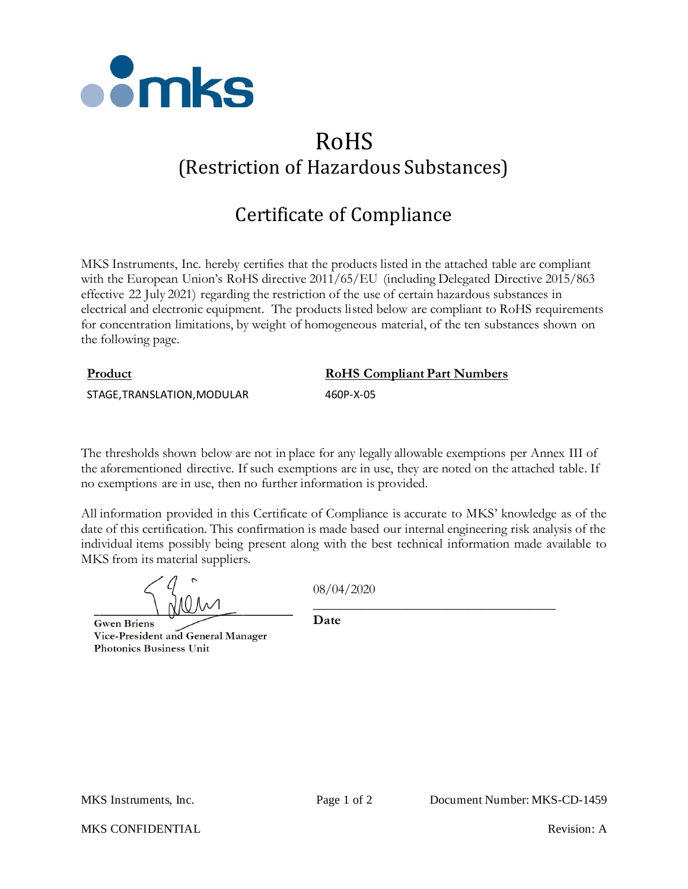

# RoHS (Restriction of Hazardous Substances)

# Certificate of Compliance

MKS Instruments, Inc. hereby certifies that the products listed in the attached table are compliant with the European Union's RoHS directive 2011/65/EU (including Delegated Directive 2015/863 effective 22 July 2021) regarding the restriction of the use of certain hazardous substances in electrical and electronic equipment. The products listed below are compliant to RoHS requirements for concentration limitations, by weight of homogeneous material, of the ten substances shown on the following page.

### **Product RoHS Compliant Part Numbers**

\_\_\_\_\_\_\_\_\_\_\_\_\_\_\_\_\_\_\_\_\_\_\_\_\_\_\_\_\_\_\_\_\_\_\_\_

STAGE,TRANSLATION,MODULAR 460P-X-05

The thresholds shown below are not in place for any legally allowable exemptions per Annex III of the aforementioned directive. If such exemptions are in use, they are noted on the attached table. If no exemptions are in use, then no further information is provided.

All information provided in this Certificate of Compliance is accurate to MKS' knowledge as of the date of this certification. This confirmation is made based our internal engineering risk analysis of the individual items possibly being present along with the best technical information made available to MKS from its material suppliers.

**Gwen Briens** Vice-President and General Manager **Photonics Business Unit** 

08/04/2020

**Date**